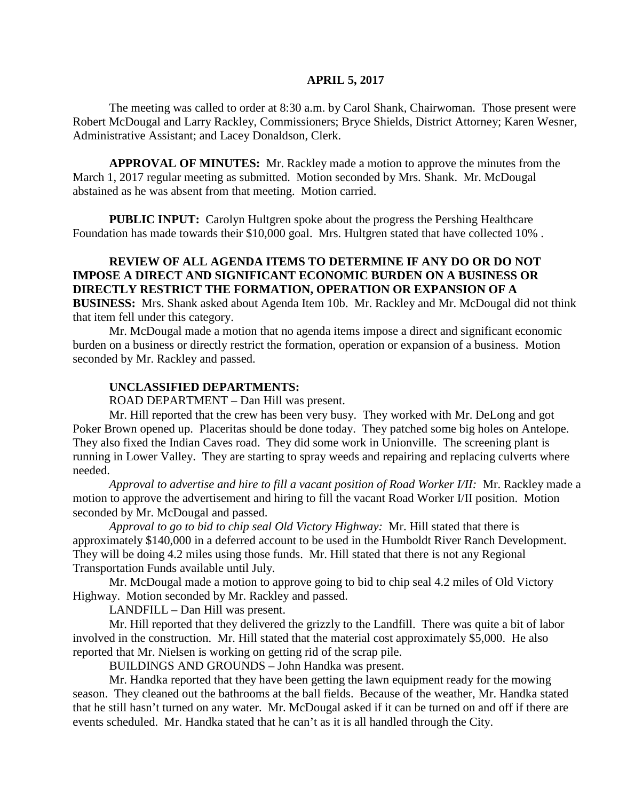#### **APRIL 5, 2017**

The meeting was called to order at 8:30 a.m. by Carol Shank, Chairwoman. Those present were Robert McDougal and Larry Rackley, Commissioners; Bryce Shields, District Attorney; Karen Wesner, Administrative Assistant; and Lacey Donaldson, Clerk.

**APPROVAL OF MINUTES:** Mr. Rackley made a motion to approve the minutes from the March 1, 2017 regular meeting as submitted. Motion seconded by Mrs. Shank. Mr. McDougal abstained as he was absent from that meeting. Motion carried.

**PUBLIC INPUT:** Carolyn Hultgren spoke about the progress the Pershing Healthcare Foundation has made towards their \$10,000 goal. Mrs. Hultgren stated that have collected 10% .

## **REVIEW OF ALL AGENDA ITEMS TO DETERMINE IF ANY DO OR DO NOT IMPOSE A DIRECT AND SIGNIFICANT ECONOMIC BURDEN ON A BUSINESS OR DIRECTLY RESTRICT THE FORMATION, OPERATION OR EXPANSION OF A BUSINESS:** Mrs. Shank asked about Agenda Item 10b. Mr. Rackley and Mr. McDougal did not think that item fell under this category.

Mr. McDougal made a motion that no agenda items impose a direct and significant economic burden on a business or directly restrict the formation, operation or expansion of a business. Motion seconded by Mr. Rackley and passed.

#### **UNCLASSIFIED DEPARTMENTS:**

ROAD DEPARTMENT – Dan Hill was present.

Mr. Hill reported that the crew has been very busy. They worked with Mr. DeLong and got Poker Brown opened up. Placeritas should be done today. They patched some big holes on Antelope. They also fixed the Indian Caves road. They did some work in Unionville. The screening plant is running in Lower Valley. They are starting to spray weeds and repairing and replacing culverts where needed.

*Approval to advertise and hire to fill a vacant position of Road Worker I/II:* Mr. Rackley made a motion to approve the advertisement and hiring to fill the vacant Road Worker I/II position. Motion seconded by Mr. McDougal and passed.

*Approval to go to bid to chip seal Old Victory Highway:* Mr. Hill stated that there is approximately \$140,000 in a deferred account to be used in the Humboldt River Ranch Development. They will be doing 4.2 miles using those funds. Mr. Hill stated that there is not any Regional Transportation Funds available until July.

Mr. McDougal made a motion to approve going to bid to chip seal 4.2 miles of Old Victory Highway. Motion seconded by Mr. Rackley and passed.

LANDFILL – Dan Hill was present.

Mr. Hill reported that they delivered the grizzly to the Landfill. There was quite a bit of labor involved in the construction. Mr. Hill stated that the material cost approximately \$5,000. He also reported that Mr. Nielsen is working on getting rid of the scrap pile.

BUILDINGS AND GROUNDS – John Handka was present.

Mr. Handka reported that they have been getting the lawn equipment ready for the mowing season. They cleaned out the bathrooms at the ball fields. Because of the weather, Mr. Handka stated that he still hasn't turned on any water. Mr. McDougal asked if it can be turned on and off if there are events scheduled. Mr. Handka stated that he can't as it is all handled through the City.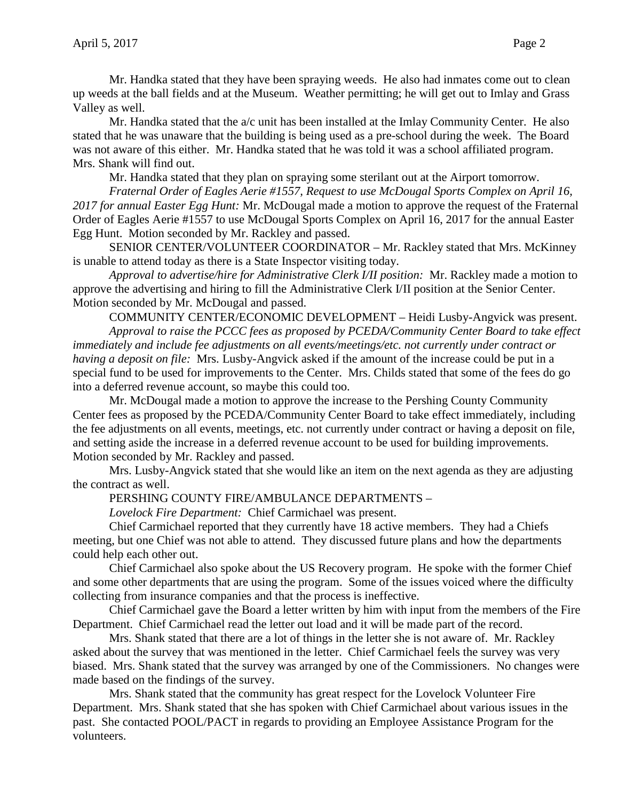Mr. Handka stated that they have been spraying weeds. He also had inmates come out to clean up weeds at the ball fields and at the Museum. Weather permitting; he will get out to Imlay and Grass Valley as well.

Mr. Handka stated that the  $a/c$  unit has been installed at the Imlay Community Center. He also stated that he was unaware that the building is being used as a pre-school during the week. The Board was not aware of this either. Mr. Handka stated that he was told it was a school affiliated program. Mrs. Shank will find out.

Mr. Handka stated that they plan on spraying some sterilant out at the Airport tomorrow.

*Fraternal Order of Eagles Aerie #1557, Request to use McDougal Sports Complex on April 16, 2017 for annual Easter Egg Hunt:* Mr. McDougal made a motion to approve the request of the Fraternal Order of Eagles Aerie #1557 to use McDougal Sports Complex on April 16, 2017 for the annual Easter Egg Hunt. Motion seconded by Mr. Rackley and passed.

SENIOR CENTER/VOLUNTEER COORDINATOR – Mr. Rackley stated that Mrs. McKinney is unable to attend today as there is a State Inspector visiting today.

*Approval to advertise/hire for Administrative Clerk I/II position:* Mr. Rackley made a motion to approve the advertising and hiring to fill the Administrative Clerk I/II position at the Senior Center. Motion seconded by Mr. McDougal and passed.

COMMUNITY CENTER/ECONOMIC DEVELOPMENT – Heidi Lusby-Angvick was present. *Approval to raise the PCCC fees as proposed by PCEDA/Community Center Board to take effect immediately and include fee adjustments on all events/meetings/etc. not currently under contract or having a deposit on file:* Mrs. Lusby-Angvick asked if the amount of the increase could be put in a special fund to be used for improvements to the Center. Mrs. Childs stated that some of the fees do go into a deferred revenue account, so maybe this could too.

Mr. McDougal made a motion to approve the increase to the Pershing County Community Center fees as proposed by the PCEDA/Community Center Board to take effect immediately, including the fee adjustments on all events, meetings, etc. not currently under contract or having a deposit on file, and setting aside the increase in a deferred revenue account to be used for building improvements. Motion seconded by Mr. Rackley and passed.

Mrs. Lusby-Angvick stated that she would like an item on the next agenda as they are adjusting the contract as well.

PERSHING COUNTY FIRE/AMBULANCE DEPARTMENTS –

*Lovelock Fire Department:* Chief Carmichael was present.

Chief Carmichael reported that they currently have 18 active members. They had a Chiefs meeting, but one Chief was not able to attend. They discussed future plans and how the departments could help each other out.

Chief Carmichael also spoke about the US Recovery program. He spoke with the former Chief and some other departments that are using the program. Some of the issues voiced where the difficulty collecting from insurance companies and that the process is ineffective.

Chief Carmichael gave the Board a letter written by him with input from the members of the Fire Department. Chief Carmichael read the letter out load and it will be made part of the record.

Mrs. Shank stated that there are a lot of things in the letter she is not aware of. Mr. Rackley asked about the survey that was mentioned in the letter. Chief Carmichael feels the survey was very biased. Mrs. Shank stated that the survey was arranged by one of the Commissioners. No changes were made based on the findings of the survey.

Mrs. Shank stated that the community has great respect for the Lovelock Volunteer Fire Department. Mrs. Shank stated that she has spoken with Chief Carmichael about various issues in the past. She contacted POOL/PACT in regards to providing an Employee Assistance Program for the volunteers.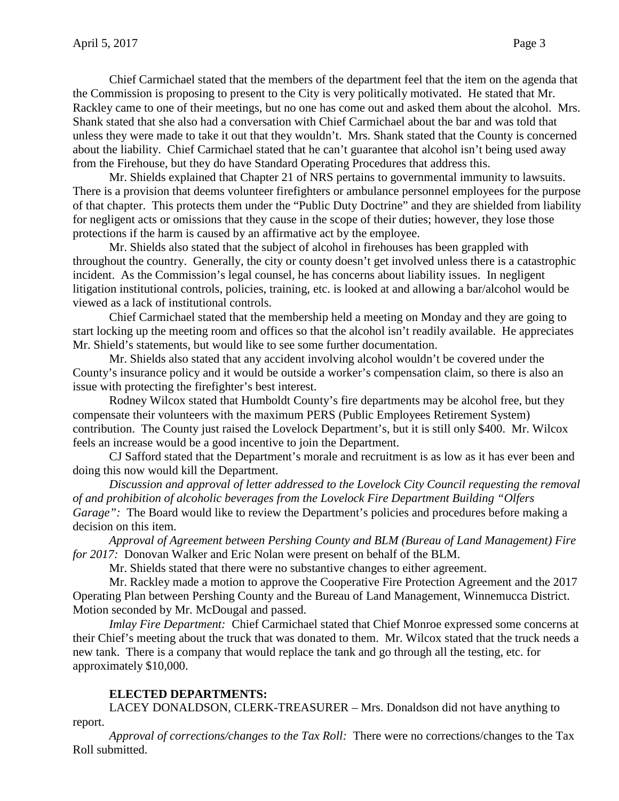Chief Carmichael stated that the members of the department feel that the item on the agenda that the Commission is proposing to present to the City is very politically motivated. He stated that Mr. Rackley came to one of their meetings, but no one has come out and asked them about the alcohol. Mrs. Shank stated that she also had a conversation with Chief Carmichael about the bar and was told that unless they were made to take it out that they wouldn't. Mrs. Shank stated that the County is concerned about the liability. Chief Carmichael stated that he can't guarantee that alcohol isn't being used away from the Firehouse, but they do have Standard Operating Procedures that address this.

Mr. Shields explained that Chapter 21 of NRS pertains to governmental immunity to lawsuits. There is a provision that deems volunteer firefighters or ambulance personnel employees for the purpose of that chapter. This protects them under the "Public Duty Doctrine" and they are shielded from liability for negligent acts or omissions that they cause in the scope of their duties; however, they lose those protections if the harm is caused by an affirmative act by the employee.

Mr. Shields also stated that the subject of alcohol in firehouses has been grappled with throughout the country. Generally, the city or county doesn't get involved unless there is a catastrophic incident. As the Commission's legal counsel, he has concerns about liability issues. In negligent litigation institutional controls, policies, training, etc. is looked at and allowing a bar/alcohol would be viewed as a lack of institutional controls.

Chief Carmichael stated that the membership held a meeting on Monday and they are going to start locking up the meeting room and offices so that the alcohol isn't readily available. He appreciates Mr. Shield's statements, but would like to see some further documentation.

Mr. Shields also stated that any accident involving alcohol wouldn't be covered under the County's insurance policy and it would be outside a worker's compensation claim, so there is also an issue with protecting the firefighter's best interest.

Rodney Wilcox stated that Humboldt County's fire departments may be alcohol free, but they compensate their volunteers with the maximum PERS (Public Employees Retirement System) contribution. The County just raised the Lovelock Department's, but it is still only \$400. Mr. Wilcox feels an increase would be a good incentive to join the Department.

CJ Safford stated that the Department's morale and recruitment is as low as it has ever been and doing this now would kill the Department.

*Discussion and approval of letter addressed to the Lovelock City Council requesting the removal of and prohibition of alcoholic beverages from the Lovelock Fire Department Building "Olfers Garage*": The Board would like to review the Department's policies and procedures before making a decision on this item.

*Approval of Agreement between Pershing County and BLM (Bureau of Land Management) Fire for 2017:* Donovan Walker and Eric Nolan were present on behalf of the BLM.

Mr. Shields stated that there were no substantive changes to either agreement.

Mr. Rackley made a motion to approve the Cooperative Fire Protection Agreement and the 2017 Operating Plan between Pershing County and the Bureau of Land Management, Winnemucca District. Motion seconded by Mr. McDougal and passed.

*Imlay Fire Department:* Chief Carmichael stated that Chief Monroe expressed some concerns at their Chief's meeting about the truck that was donated to them. Mr. Wilcox stated that the truck needs a new tank. There is a company that would replace the tank and go through all the testing, etc. for approximately \$10,000.

# **ELECTED DEPARTMENTS:**

LACEY DONALDSON, CLERK-TREASURER – Mrs. Donaldson did not have anything to report.

*Approval of corrections/changes to the Tax Roll:* There were no corrections/changes to the Tax Roll submitted.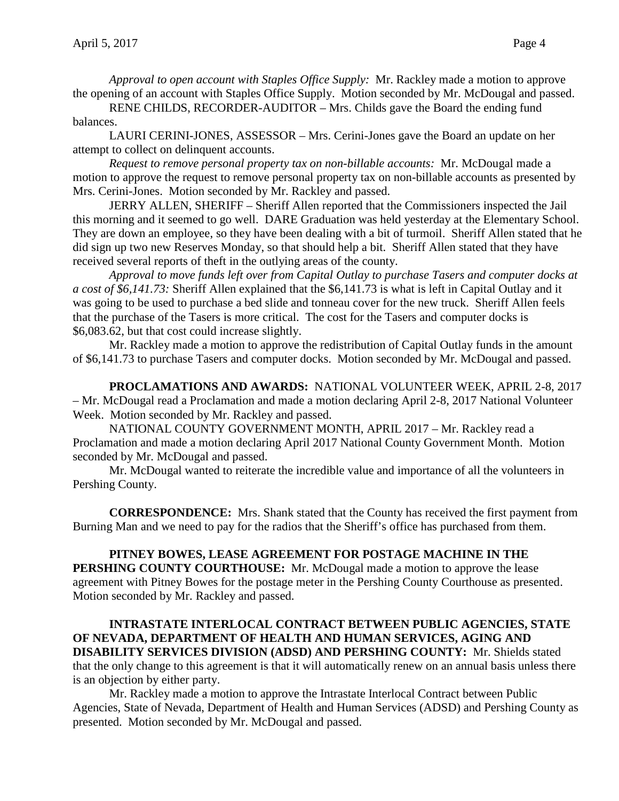*Approval to open account with Staples Office Supply:* Mr. Rackley made a motion to approve the opening of an account with Staples Office Supply. Motion seconded by Mr. McDougal and passed.

RENE CHILDS, RECORDER-AUDITOR – Mrs. Childs gave the Board the ending fund balances.

LAURI CERINI-JONES, ASSESSOR – Mrs. Cerini-Jones gave the Board an update on her attempt to collect on delinquent accounts.

*Request to remove personal property tax on non-billable accounts:* Mr. McDougal made a motion to approve the request to remove personal property tax on non-billable accounts as presented by Mrs. Cerini-Jones. Motion seconded by Mr. Rackley and passed.

JERRY ALLEN, SHERIFF – Sheriff Allen reported that the Commissioners inspected the Jail this morning and it seemed to go well. DARE Graduation was held yesterday at the Elementary School. They are down an employee, so they have been dealing with a bit of turmoil. Sheriff Allen stated that he did sign up two new Reserves Monday, so that should help a bit. Sheriff Allen stated that they have received several reports of theft in the outlying areas of the county.

*Approval to move funds left over from Capital Outlay to purchase Tasers and computer docks at a cost of \$6,141.73:* Sheriff Allen explained that the \$6,141.73 is what is left in Capital Outlay and it was going to be used to purchase a bed slide and tonneau cover for the new truck. Sheriff Allen feels that the purchase of the Tasers is more critical. The cost for the Tasers and computer docks is \$6,083.62, but that cost could increase slightly.

Mr. Rackley made a motion to approve the redistribution of Capital Outlay funds in the amount of \$6,141.73 to purchase Tasers and computer docks. Motion seconded by Mr. McDougal and passed.

**PROCLAMATIONS AND AWARDS:** NATIONAL VOLUNTEER WEEK, APRIL 2-8, 2017 – Mr. McDougal read a Proclamation and made a motion declaring April 2-8, 2017 National Volunteer Week. Motion seconded by Mr. Rackley and passed.

NATIONAL COUNTY GOVERNMENT MONTH, APRIL 2017 – Mr. Rackley read a Proclamation and made a motion declaring April 2017 National County Government Month. Motion seconded by Mr. McDougal and passed.

Mr. McDougal wanted to reiterate the incredible value and importance of all the volunteers in Pershing County.

**CORRESPONDENCE:** Mrs. Shank stated that the County has received the first payment from Burning Man and we need to pay for the radios that the Sheriff's office has purchased from them.

**PITNEY BOWES, LEASE AGREEMENT FOR POSTAGE MACHINE IN THE PERSHING COUNTY COURTHOUSE:** Mr. McDougal made a motion to approve the lease agreement with Pitney Bowes for the postage meter in the Pershing County Courthouse as presented. Motion seconded by Mr. Rackley and passed.

## **INTRASTATE INTERLOCAL CONTRACT BETWEEN PUBLIC AGENCIES, STATE OF NEVADA, DEPARTMENT OF HEALTH AND HUMAN SERVICES, AGING AND DISABILITY SERVICES DIVISION (ADSD) AND PERSHING COUNTY:** Mr. Shields stated that the only change to this agreement is that it will automatically renew on an annual basis unless there is an objection by either party.

Mr. Rackley made a motion to approve the Intrastate Interlocal Contract between Public Agencies, State of Nevada, Department of Health and Human Services (ADSD) and Pershing County as presented. Motion seconded by Mr. McDougal and passed.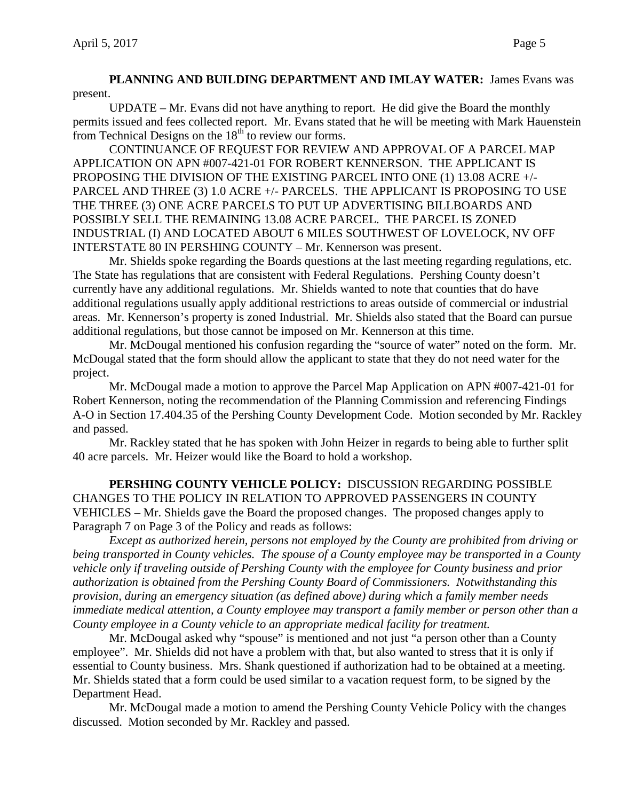**PLANNING AND BUILDING DEPARTMENT AND IMLAY WATER:** James Evans was present.

UPDATE – Mr. Evans did not have anything to report. He did give the Board the monthly permits issued and fees collected report. Mr. Evans stated that he will be meeting with Mark Hauenstein from Technical Designs on the  $18<sup>th</sup>$  to review our forms.

CONTINUANCE OF REQUEST FOR REVIEW AND APPROVAL OF A PARCEL MAP APPLICATION ON APN #007-421-01 FOR ROBERT KENNERSON. THE APPLICANT IS PROPOSING THE DIVISION OF THE EXISTING PARCEL INTO ONE (1) 13.08 ACRE +/- PARCEL AND THREE (3) 1.0 ACRE +/- PARCELS. THE APPLICANT IS PROPOSING TO USE THE THREE (3) ONE ACRE PARCELS TO PUT UP ADVERTISING BILLBOARDS AND POSSIBLY SELL THE REMAINING 13.08 ACRE PARCEL. THE PARCEL IS ZONED INDUSTRIAL (I) AND LOCATED ABOUT 6 MILES SOUTHWEST OF LOVELOCK, NV OFF INTERSTATE 80 IN PERSHING COUNTY – Mr. Kennerson was present.

Mr. Shields spoke regarding the Boards questions at the last meeting regarding regulations, etc. The State has regulations that are consistent with Federal Regulations. Pershing County doesn't currently have any additional regulations. Mr. Shields wanted to note that counties that do have additional regulations usually apply additional restrictions to areas outside of commercial or industrial areas. Mr. Kennerson's property is zoned Industrial. Mr. Shields also stated that the Board can pursue additional regulations, but those cannot be imposed on Mr. Kennerson at this time.

Mr. McDougal mentioned his confusion regarding the "source of water" noted on the form. Mr. McDougal stated that the form should allow the applicant to state that they do not need water for the project.

Mr. McDougal made a motion to approve the Parcel Map Application on APN #007-421-01 for Robert Kennerson, noting the recommendation of the Planning Commission and referencing Findings A-O in Section 17.404.35 of the Pershing County Development Code. Motion seconded by Mr. Rackley and passed.

Mr. Rackley stated that he has spoken with John Heizer in regards to being able to further split 40 acre parcels. Mr. Heizer would like the Board to hold a workshop.

**PERSHING COUNTY VEHICLE POLICY:** DISCUSSION REGARDING POSSIBLE CHANGES TO THE POLICY IN RELATION TO APPROVED PASSENGERS IN COUNTY VEHICLES – Mr. Shields gave the Board the proposed changes. The proposed changes apply to Paragraph 7 on Page 3 of the Policy and reads as follows:

*Except as authorized herein, persons not employed by the County are prohibited from driving or being transported in County vehicles. The spouse of a County employee may be transported in a County vehicle only if traveling outside of Pershing County with the employee for County business and prior authorization is obtained from the Pershing County Board of Commissioners. Notwithstanding this provision, during an emergency situation (as defined above) during which a family member needs immediate medical attention, a County employee may transport a family member or person other than a County employee in a County vehicle to an appropriate medical facility for treatment.*

Mr. McDougal asked why "spouse" is mentioned and not just "a person other than a County employee". Mr. Shields did not have a problem with that, but also wanted to stress that it is only if essential to County business. Mrs. Shank questioned if authorization had to be obtained at a meeting. Mr. Shields stated that a form could be used similar to a vacation request form, to be signed by the Department Head.

Mr. McDougal made a motion to amend the Pershing County Vehicle Policy with the changes discussed. Motion seconded by Mr. Rackley and passed.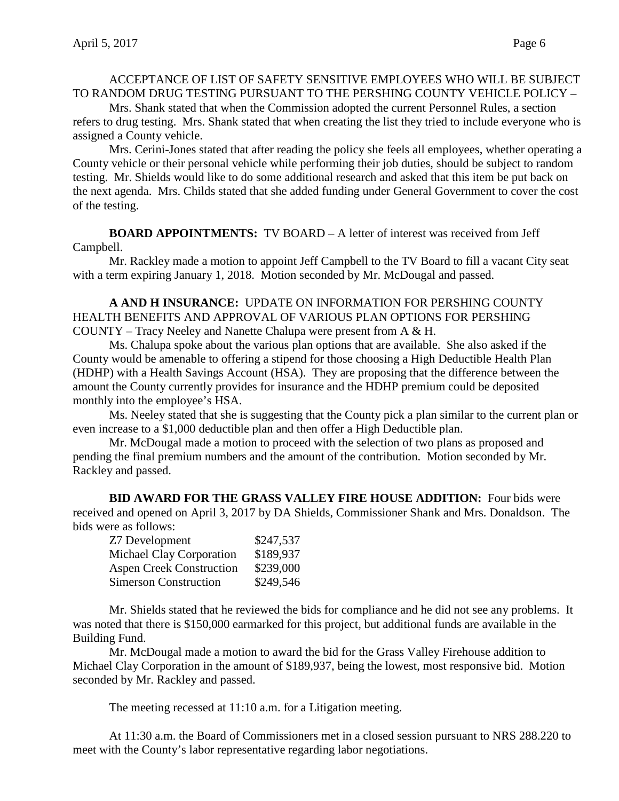# ACCEPTANCE OF LIST OF SAFETY SENSITIVE EMPLOYEES WHO WILL BE SUBJECT TO RANDOM DRUG TESTING PURSUANT TO THE PERSHING COUNTY VEHICLE POLICY –

Mrs. Shank stated that when the Commission adopted the current Personnel Rules, a section refers to drug testing. Mrs. Shank stated that when creating the list they tried to include everyone who is assigned a County vehicle.

Mrs. Cerini-Jones stated that after reading the policy she feels all employees, whether operating a County vehicle or their personal vehicle while performing their job duties, should be subject to random testing. Mr. Shields would like to do some additional research and asked that this item be put back on the next agenda. Mrs. Childs stated that she added funding under General Government to cover the cost of the testing.

**BOARD APPOINTMENTS:** TV BOARD – A letter of interest was received from Jeff Campbell.

Mr. Rackley made a motion to appoint Jeff Campbell to the TV Board to fill a vacant City seat with a term expiring January 1, 2018. Motion seconded by Mr. McDougal and passed.

**A AND H INSURANCE:** UPDATE ON INFORMATION FOR PERSHING COUNTY HEALTH BENEFITS AND APPROVAL OF VARIOUS PLAN OPTIONS FOR PERSHING COUNTY – Tracy Neeley and Nanette Chalupa were present from A & H.

Ms. Chalupa spoke about the various plan options that are available. She also asked if the County would be amenable to offering a stipend for those choosing a High Deductible Health Plan (HDHP) with a Health Savings Account (HSA). They are proposing that the difference between the amount the County currently provides for insurance and the HDHP premium could be deposited monthly into the employee's HSA.

Ms. Neeley stated that she is suggesting that the County pick a plan similar to the current plan or even increase to a \$1,000 deductible plan and then offer a High Deductible plan.

Mr. McDougal made a motion to proceed with the selection of two plans as proposed and pending the final premium numbers and the amount of the contribution. Motion seconded by Mr. Rackley and passed.

**BID AWARD FOR THE GRASS VALLEY FIRE HOUSE ADDITION:** Four bids were received and opened on April 3, 2017 by DA Shields, Commissioner Shank and Mrs. Donaldson. The bids were as follows:

| Z7 Development                  | \$247,537 |
|---------------------------------|-----------|
| <b>Michael Clay Corporation</b> | \$189,937 |
| <b>Aspen Creek Construction</b> | \$239,000 |
| <b>Simerson Construction</b>    | \$249,546 |

Mr. Shields stated that he reviewed the bids for compliance and he did not see any problems. It was noted that there is \$150,000 earmarked for this project, but additional funds are available in the Building Fund.

Mr. McDougal made a motion to award the bid for the Grass Valley Firehouse addition to Michael Clay Corporation in the amount of \$189,937, being the lowest, most responsive bid. Motion seconded by Mr. Rackley and passed.

The meeting recessed at 11:10 a.m. for a Litigation meeting.

At 11:30 a.m. the Board of Commissioners met in a closed session pursuant to NRS 288.220 to meet with the County's labor representative regarding labor negotiations.